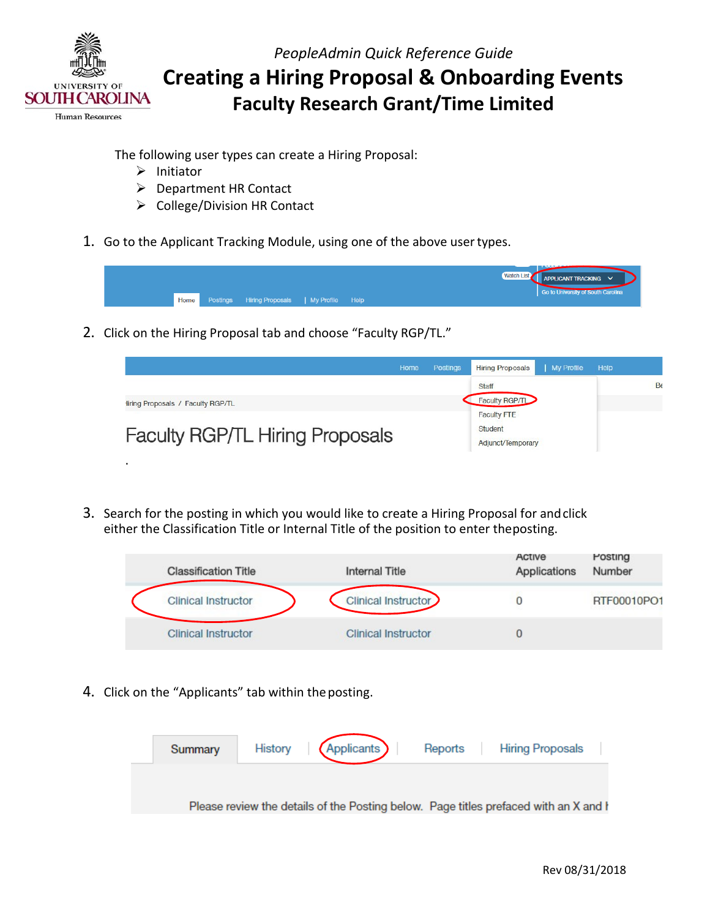

The following user types can create a Hiring Proposal:

- $\triangleright$  Initiator
- Department HR Contact
- ▶ College/Division HR Contact
- 1. Go to the Applicant Tracking Module, using one of the above user types.



2. Click on the Hiring Proposal tab and choose "Faculty RGP/TL."



 either the Classification Title or Internal Title of the position to enter theposting. 3. Search for the posting in which you would like to create a Hiring Proposal for andclick

| <b>Classification Title</b> | <b>Internal Title</b>      | Active<br>Applications | Posting<br>Number |
|-----------------------------|----------------------------|------------------------|-------------------|
| <b>Clinical Instructor</b>  | Clinical Instructor        |                        | RTF00010PO1       |
| <b>Clinical Instructor</b>  | <b>Clinical Instructor</b> |                        |                   |

4. Click on the "Applicants" tab within the posting.

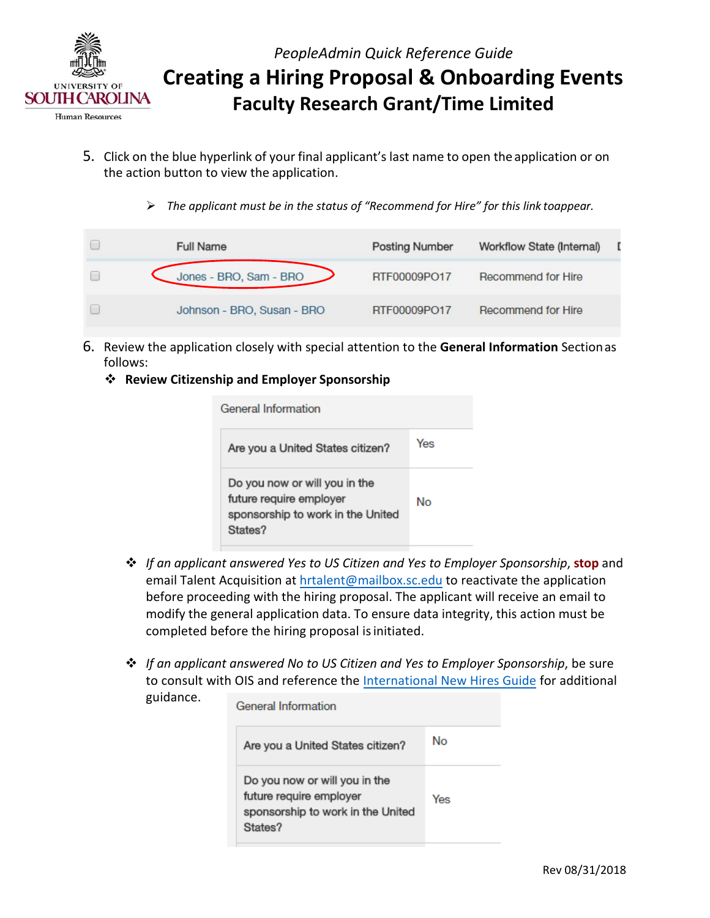

- 5. Click on the blue hyperlink of your final applicant's last name to open the application or on the action button to view the application.
	- *The applicant must be in the status of "Recommend for Hire" for this link toappear.*

| <b>Full Name</b>           | <b>Posting Number</b> | Workflow State (Internal) | - 0 |
|----------------------------|-----------------------|---------------------------|-----|
| Jones - BRO, Sam - BRO     | RTF00009PO17          | Recommend for Hire        |     |
| Johnson - BRO, Susan - BRO | RTF00009PO17          | Recommend for Hire        |     |

- 6. Review the application closely with special attention to the **General Information** Sectionas follows:
	- **Review Citizenship and Employer Sponsorship**

| General Information<br>Are you a United States citizen?                                                  | Yes |
|----------------------------------------------------------------------------------------------------------|-----|
| Do you now or will you in the<br>future require employer<br>sponsorship to work in the United<br>States? | No  |

- *If an applicant answered Yes to US Citizen and Yes to Employer Sponsorship*, **stop** and email Talent Acquisition at [hrtalent@mailbox.sc.edu to](mailto:hrtalent@mailbox.sc.edu) reactivate the application before proceeding with the hiring proposal. The applicant will receive an email to modify the general application data. To ensure data integrity, this action must be completed before the hiring proposal is initiated.
- *If an applicant answered No to US Citizen and Yes to Employer Sponsorship*, be sure to consult with OIS and reference th[e International New Hires Guide](http://www.sc.edu/about/offices_and_divisions/human_resources/docs/pa_international_new_hires.pdf) for additional guidance.  $\sim$   $\sim$   $\sim$   $\sim$   $\sim$

| General Information                                                                                      |     |
|----------------------------------------------------------------------------------------------------------|-----|
| Are you a United States citizen?                                                                         | No  |
| Do you now or will you in the<br>future require employer<br>sponsorship to work in the United<br>States? | Yes |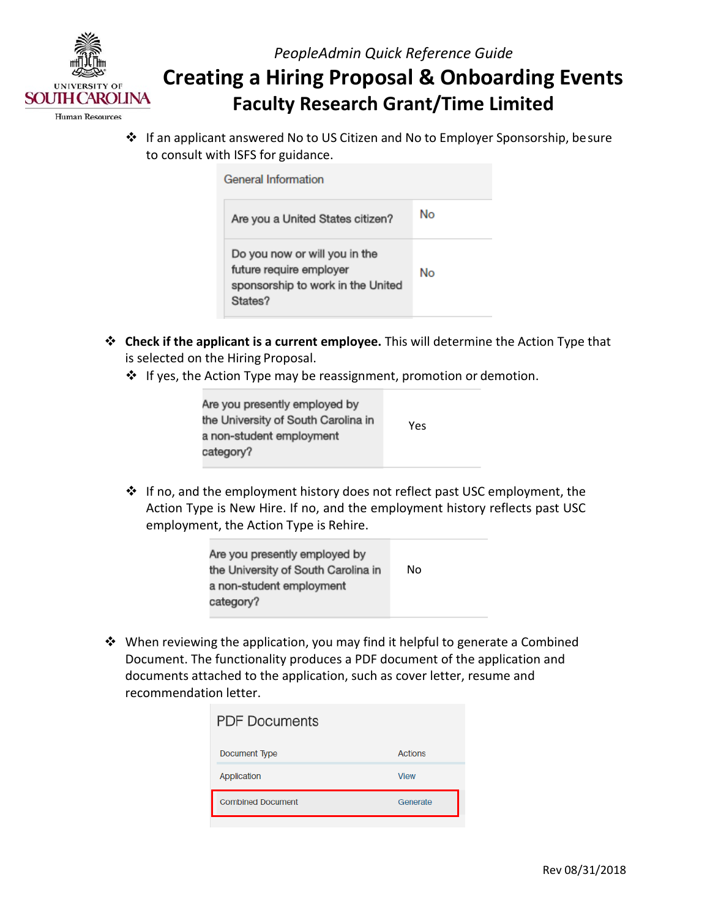

# **Creating a Hiring Proposal & Onboarding Events Faculty Research Grant/Time Limited**

**Human Resources** 

 If an applicant answered No to US Citizen and No to Employer Sponsorship, besure to consult with ISFS for guidance.

| General Information                                                                                      |    |
|----------------------------------------------------------------------------------------------------------|----|
| Are you a United States citizen?                                                                         | No |
| Do you now or will you in the<br>future require employer<br>sponsorship to work in the United<br>States? | No |

- is selected on the Hiring Proposal. **Check if the applicant is a current employee.** This will determine the Action Type that
	- ❖ If yes, the Action Type may be reassignment, promotion or demotion.

| Are you presently employed by<br>the University of South Carolina in | Yes |
|----------------------------------------------------------------------|-----|
| a non-student employment<br>category?                                |     |

 $\mathbf{\hat{*}}$  If no, and the employment history does not reflect past USC employment, the Action Type is New Hire. If no, and the employment history reflects past USC employment, the Action Type is Rehire.

| Are you presently employed by<br>the University of South Carolina in | No |  |
|----------------------------------------------------------------------|----|--|
| a non-student employment<br>category?                                |    |  |

 documents attached to the application, such as cover letter, resume and recommendation letter. When reviewing the application, you may find it helpful to generate a Combined Document. The functionality produces a PDF document of the application and

| <b>Actions</b><br>Document Type      |  |
|--------------------------------------|--|
|                                      |  |
| Application<br><b>View</b>           |  |
| <b>Combined Document</b><br>Generate |  |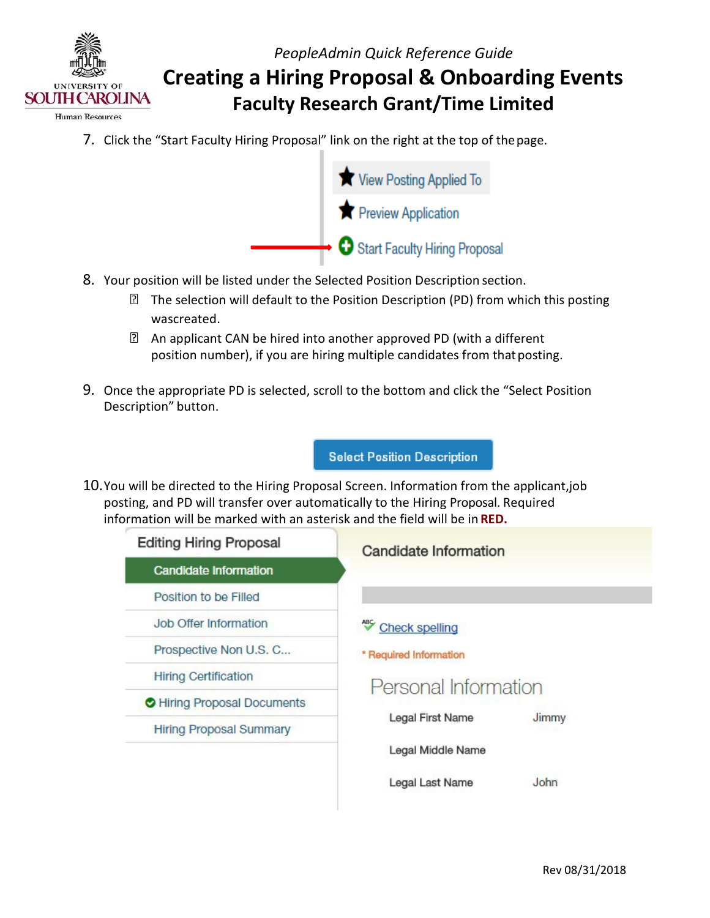

- Human Resources
	- 7. Click the "Start Faculty Hiring Proposal" link on the right at the top of thepage.



- 8. Your position will be listed under the Selected Position Description section.
	- The selection will default to the Position Description (PD) from which this posting wascreated.
	- An applicant CAN be hired into another approved PD (with a different position number), if you are hiring multiple candidates from that posting.
- 9. Once the appropriate PD is selected, scroll to the bottom and click the "Select Position Description" button.

**Select Position Description** 

 information will be marked with an asterisk and the field will be in **RED.** 10.You will be directed to the Hiring Proposal Screen. Information from the applicant,job posting, and PD will transfer over automatically to the Hiring Proposal. Required

| <b>Editing Hiring Proposal</b> | Candidate Information  |       |
|--------------------------------|------------------------|-------|
| <b>Candidate Information</b>   |                        |       |
| Position to be Filled          |                        |       |
| Job Offer Information          | <b>Check spelling</b>  |       |
| Prospective Non U.S. C         | * Required Information |       |
| <b>Hiring Certification</b>    | Personal Information   |       |
| Hiring Proposal Documents      |                        |       |
| <b>Hiring Proposal Summary</b> | Legal First Name       | Jimmy |
|                                | Legal Middle Name      |       |
|                                | Legal Last Name        | John  |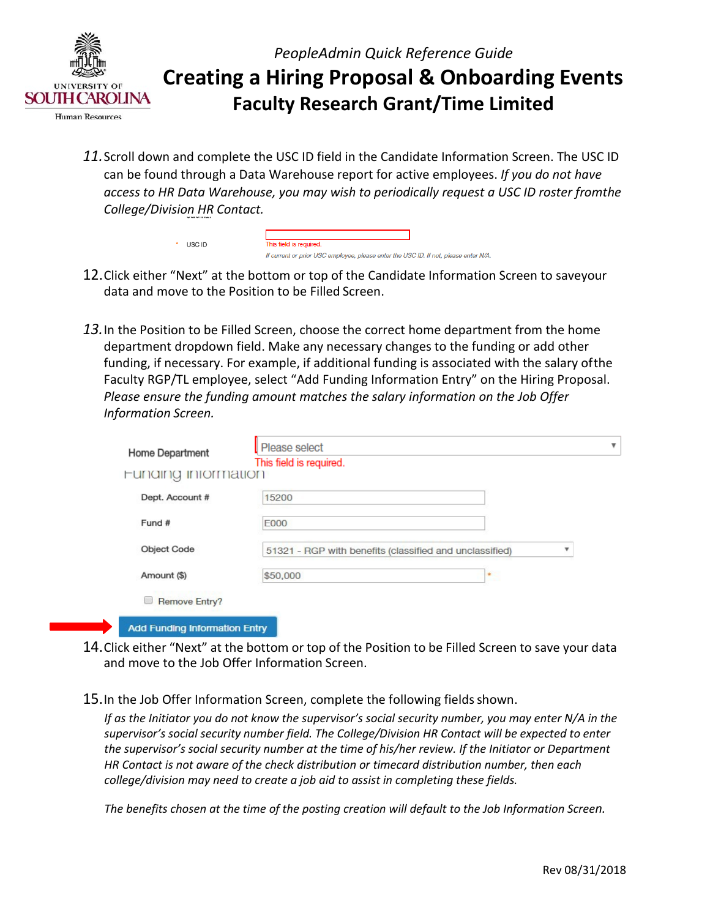

*11.*Scroll down and complete the USC ID field in the Candidate Information Screen. The USC ID can be found through a Data Warehouse report for active employees. *If you do not have access to HR Data Warehouse, you may wish to periodically request a USC ID roster fromthe College/Division HR Contact.*

| USC ID | This field is required.                                                            |  |
|--------|------------------------------------------------------------------------------------|--|
|        | If current or prior USC employee, please enter the USC ID, If not, please enter N/ |  |

- 12.Click either "Next" at the bottom or top of the Candidate Information Screen to saveyour data and move to the Position to be Filled Screen.
- *13.*In the Position to be Filled Screen, choose the correct home department from the home department dropdown field. Make any necessary changes to the funding or add other Faculty RGP/TL employee, select "Add Funding Information Entry" on the Hiring Proposal. funding, if necessary. For example, if additional funding is associated with the salary ofthe *Please ensure the funding amount matches the salary information on the Job Offer Information Screen.*

| Home Department<br>Funding information | This field is required.                                 |   |
|----------------------------------------|---------------------------------------------------------|---|
| Dept. Account #                        | 15200                                                   |   |
| Fund #                                 | <b>E000</b>                                             |   |
| Object Code                            | 51321 - RGP with benefits (classified and unclassified) | v |
| Amount (\$)                            | \$50,000<br>×                                           |   |
| Remove Entry?                          |                                                         |   |

- 14.Click either "Next" at the bottom or top of the Position to be Filled Screen to save your data and move to the Job Offer Information Screen.
- 15. In the Job Offer Information Screen, complete the following fields shown.

 *the supervisor's social security number at the time of his/her review. If the Initiator or Department If as the Initiator you do not know the supervisor's social security number, you may enter N/A in the supervisor's social security number field. The College/Division HR Contact will be expected to enter HR Contact is not aware of the check distribution or timecard distribution number, then each college/division may need to create a job aid to assist in completing these fields.*

 *The benefits chosen at the time of the posting creation will default to the Job Information Screen.*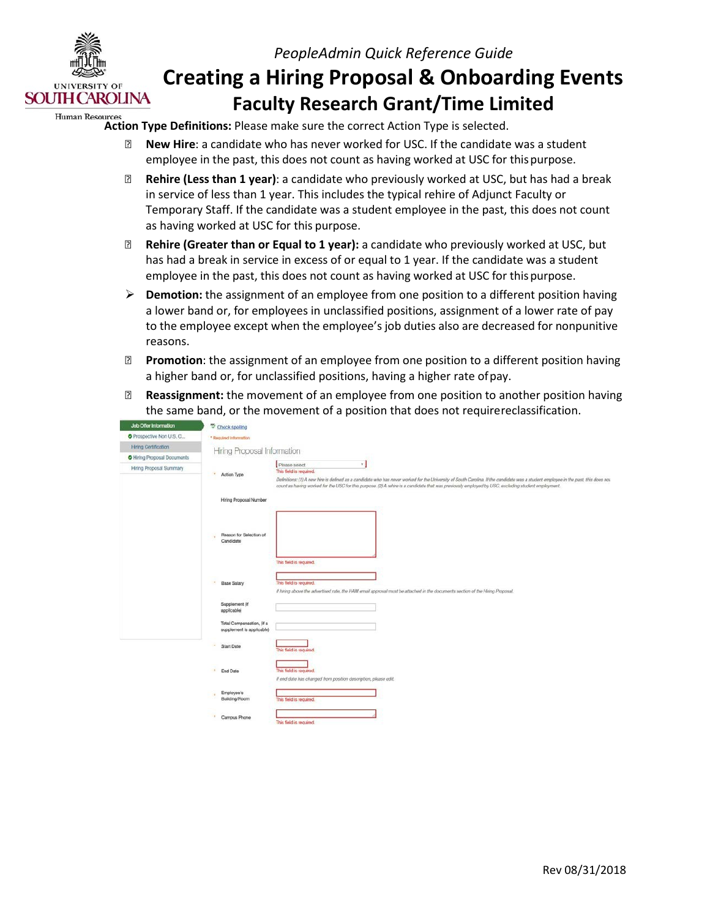

### *PeopleAdmin Quick Reference Guide*

## **Creating a Hiring Proposal & Onboarding Events Faculty Research Grant/Time Limited**

#### **Action Type Definitions:** Please make sure the correct Action Type is selected.

- **New Hire**: a candidate who has never worked for USC. If the candidate was a student employee in the past, this does not count as having worked at USC for this purpose.
- **Rehire (Less than 1 year)**: a candidate who previously worked at USC, but has had a break in service of less than 1 year. This includes the typical rehire of Adjunct Faculty or as having worked at USC for this purpose. Temporary Staff. If the candidate was a student employee in the past, this does not count
- **Rehire (Greater than or Equal to 1 year):** a candidate who previously worked at USC, but employee in the past, this does not count as having worked at USC for this purpose. has had a break in service in excess of or equal to 1 year. If the candidate was a student
- **Demotion:** the assignment of an employee from one position to a different position having a lower band or, for employees in unclassified positions, assignment of a lower rate of pay to the employee except when the employee's job duties also are decreased for nonpunitive reasons.
- **Promotion**: the assignment of an employee from one position to a different position having a higher band or, for unclassified positions, having a higher rate ofpay.
- the same band, or the movement of a position that does not requirereclassification. **Reassignment:** the movement of an employee from one position to another position having

| <b>Job Offer Information</b> | Check spelling                                                                          |                                                                                                                                                                                                                                                                                                                                            |
|------------------------------|-----------------------------------------------------------------------------------------|--------------------------------------------------------------------------------------------------------------------------------------------------------------------------------------------------------------------------------------------------------------------------------------------------------------------------------------------|
| Prospective Non U.S. C       | * Required Information                                                                  |                                                                                                                                                                                                                                                                                                                                            |
| <b>Hiring Certification</b>  | Hiring Proposal Information                                                             |                                                                                                                                                                                                                                                                                                                                            |
| O Hiring Proposal Documents  |                                                                                         |                                                                                                                                                                                                                                                                                                                                            |
| Hiring Proposal Summary      |                                                                                         | ×<br>Please select<br>This field is required.                                                                                                                                                                                                                                                                                              |
|                              | $\bullet$<br>Action Type                                                                | Definitions: (1) A new hire is defined as a candidate who has never worked for the University of South Carolina. If the candidate was a student employee in the past, this does not<br>count as having worked for the USC for this purpose. (2) A rehire is a candidate that was previously employed by USC, excluding student employment. |
|                              | Hiring Proposal Number                                                                  |                                                                                                                                                                                                                                                                                                                                            |
|                              | Reason for Selection of<br>Candidate                                                    |                                                                                                                                                                                                                                                                                                                                            |
|                              | $\sigma$<br><b>Base Salary</b>                                                          | This field is required.<br>This field is required.<br>If hiring above the advertised rate, the HAM email approval must be attached in the documents section of the Hiring Proposal.                                                                                                                                                        |
|                              | Supplement (if<br>applicable)<br>Total Compensation, (if a<br>supplement is applicable) |                                                                                                                                                                                                                                                                                                                                            |
|                              | ٠<br><b>Start Date</b>                                                                  | This field is required.                                                                                                                                                                                                                                                                                                                    |
|                              | $\Phi$<br>End Date                                                                      | This field is required.<br>If end date has changed from position description, please edit.                                                                                                                                                                                                                                                 |
|                              | Employee's<br>٠<br>Building/Room                                                        | This field is required.                                                                                                                                                                                                                                                                                                                    |
|                              | Campus Phone                                                                            | This field is required.                                                                                                                                                                                                                                                                                                                    |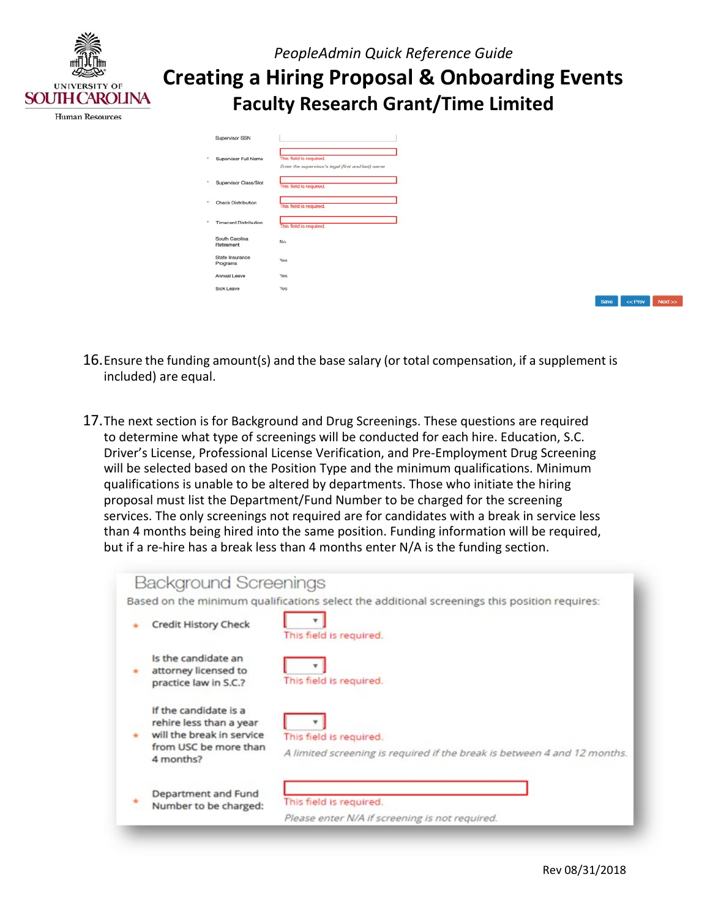

| Supervisor SSN               |                                                                               |
|------------------------------|-------------------------------------------------------------------------------|
| Supervisor Full Name         | This field is required.<br>Enter the supervisor's legal (first and last) name |
| Supervisor Class/Slot        | This field is required.                                                       |
| <b>Check Distribution</b>    | This field is required.                                                       |
| <b>Timecard Distribution</b> | This field is required.                                                       |
| South Carolina<br>Retirement | No                                                                            |
| State Insurance<br>Programs  | Yes                                                                           |
| Annual Leave                 | Yes                                                                           |
| Sick Leave                   | Yes                                                                           |

Save << Prev Next >>

- 16.Ensure the funding amount(s) and the base salary (or total compensation, if a supplement is included) are equal.
- to determine what type of screenings will be conducted for each hire. Education, S.C. qualifications is unable to be altered by departments. Those who initiate the hiring proposal must list the Department/Fund Number to be charged for the screening than 4 months being hired into the same position. Funding information will be required, but if a re-hire has a break less than 4 months enter N/A is the funding section. 17.The next section is for Background and Drug Screenings. These questions are required Driver's License, Professional License Verification, and Pre-Employment Drug Screening will be selected based on the Position Type and the minimum qualifications. Minimum services. The only screenings not required are for candidates with a break in service less

| <b>Background Screenings</b>       |                                                                                              |
|------------------------------------|----------------------------------------------------------------------------------------------|
|                                    | Based on the minimum qualifications select the additional screenings this position requires: |
| <b>Credit History Check</b>        | This field is required.                                                                      |
| Is the candidate an                |                                                                                              |
| attorney licensed to               |                                                                                              |
| practice law in S.C.?              | This field is required.                                                                      |
| If the candidate is a              |                                                                                              |
| rehire less than a year            |                                                                                              |
| will the break in service          | This field is required.                                                                      |
| from USC be more than<br>4 months? | A limited screening is required if the break is between 4 and 12 months.                     |
| Department and Fund                |                                                                                              |
| Number to be charged:              | This field is required.                                                                      |
|                                    | Please enter N/A if screening is not required.                                               |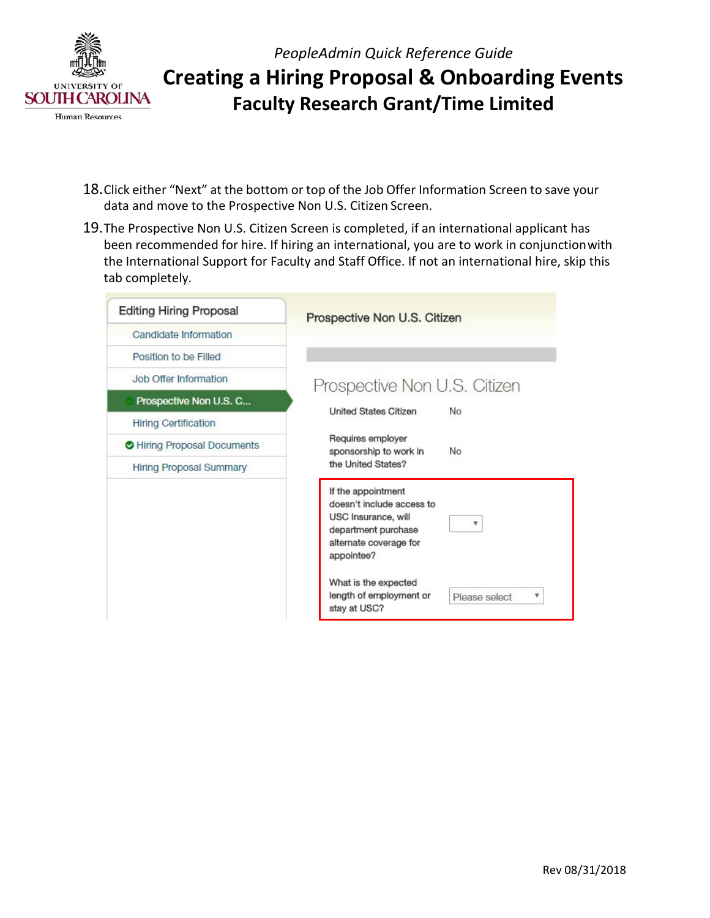

- 18.Click either "Next" at the bottom or top of the Job Offer Information Screen to save your data and move to the Prospective Non U.S. Citizen Screen.
- 19.The Prospective Non U.S. Citizen Screen is completed, if an international applicant has been recommended for hire. If hiring an international, you are to work in conjunctionwith the International Support for Faculty and Staff Office. If not an international hire, skip this tab completely.

| <b>Editing Hiring Proposal</b> | Prospective Non U.S. Citizen                                                                                                                                       |
|--------------------------------|--------------------------------------------------------------------------------------------------------------------------------------------------------------------|
| Candidate Information          |                                                                                                                                                                    |
| Position to be Filled          |                                                                                                                                                                    |
| <b>Job Offer Information</b>   | Prospective Non U.S. Citizen                                                                                                                                       |
| Prospective Non U.S. C         | <b>United States Citizen</b><br>No                                                                                                                                 |
| <b>Hiring Certification</b>    |                                                                                                                                                                    |
| Hiring Proposal Documents      | Requires employer<br>sponsorship to work in<br>No                                                                                                                  |
| <b>Hiring Proposal Summary</b> | the United States?                                                                                                                                                 |
|                                | If the appointment<br>doesn't include access to<br>USC Insurance, will<br>v<br>department purchase<br>alternate coverage for<br>appointee?<br>What is the expected |
|                                | length of employment or<br>۷<br>Please select<br>stay at USC?                                                                                                      |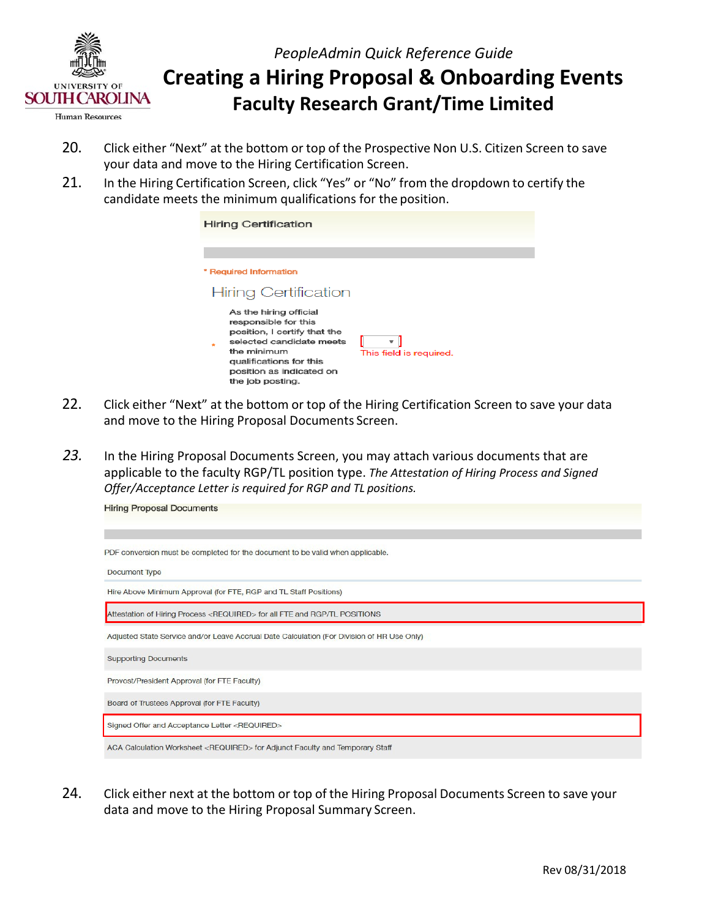

 **Creating a Hiring Proposal & Onboarding Events Faculty Research Grant/Time Limited** 

- 20. Click either "Next" at the bottom or top of the Prospective Non U.S. Citizen Screen to save your data and move to the Hiring Certification Screen.
- 21. In the Hiring Certification Screen, click "Yes" or "No" from the dropdown to certify the candidate meets the minimum qualifications for the position.

| <b>Hiring Certification</b>                                                                                                                                                                          |                         |
|------------------------------------------------------------------------------------------------------------------------------------------------------------------------------------------------------|-------------------------|
| * Required Information<br><b>Hiring Certification</b>                                                                                                                                                |                         |
| As the hiring official<br>responsible for this<br>position, I certify that the<br>selected candidate meets<br>the minimum<br>qualifications for this<br>position as indicated on<br>the job posting. | This field is required. |

- 22. Click either "Next" at the bottom or top of the Hiring Certification Screen to save your data and move to the Hiring Proposal Documents Screen.
- *23.* In the Hiring Proposal Documents Screen, you may attach various documents that are  *Offer/Acceptance Letter is required for RGP and TL positions.*  applicable to the faculty RGP/TL position type. *The Attestation of Hiring Process and Signed*

| <b>Hiring Proposal Documents</b>                                                           |
|--------------------------------------------------------------------------------------------|
|                                                                                            |
| PDF conversion must be completed for the document to be valid when applicable.             |
| Document Type                                                                              |
| Hire Above Minimum Approval (for FTE, RGP and TL Staff Positions)                          |
| Attestation of Hiring Process <required> for all FTE and RGP/TL POSITIONS</required>       |
| Adjusted State Service and/or Leave Accrual Date Calculation (For Division of HR Use Only) |
| <b>Supporting Documents</b>                                                                |
| Provost/President Approval (for FTE Faculty)                                               |
| Board of Trustees Approval (for FTE Faculty)                                               |
| Signed Offer and Acceptance Letter <required></required>                                   |
| ACA Calculation Worksheet <required> for Adjunct Faculty and Temporary Staff</required>    |

 24. Click either next at the bottom or top of the Hiring Proposal Documents Screen to save your data and move to the Hiring Proposal Summary Screen.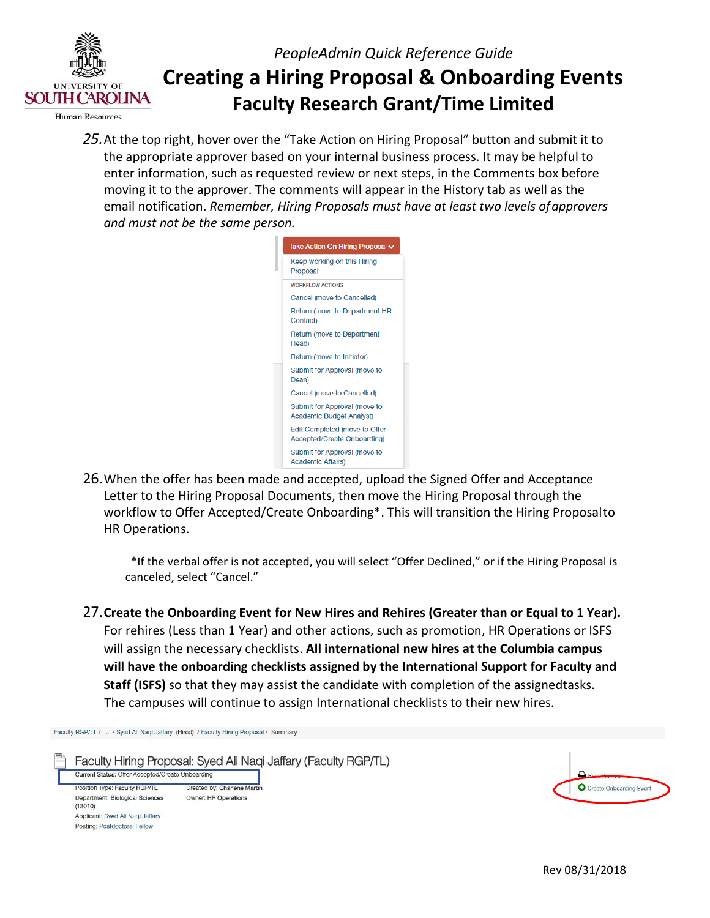

 the appropriate approver based on your internal business process. It may be helpful to enter information, such as requested review or next steps, in the Comments box before moving it to the approver. The comments will appear in the History tab as well as the *25.*At the top right, hover over the "Take Action on Hiring Proposal" button and submit it to email notification. *Remember, Hiring Proposals must have at least two levels ofapprovers and must not be the same person.*



 Letter to the Hiring Proposal Documents, then move the Hiring Proposal through the 26.When the offer has been made and accepted, upload the Signed Offer and Acceptance workflow to Offer Accepted/Create Onboarding\*. This will transition the Hiring Proposalto HR Operations.

\*If the verbal offer is not accepted, you will select "Offer Declined," or if the Hiring Proposal is canceled, select "Cancel."

 For rehires (Less than 1 Year) and other actions, such as promotion, HR Operations or ISFS **Staff (ISFS)** so that they may assist the candidate with completion of the assignedtasks. The campuses will continue to assign International checklists to their new hires. 27.**Create the Onboarding Event for New Hires and Rehires (Greater than or Equal to 1 Year).** will assign the necessary checklists. **All international new hires at the Columbia campus will have the onboarding checklists assigned by the International Support for Faculty and**

Faculty RGP/TL / ... / Syed Ali Naqi Jaffary (Hired) / Faculty Hiring Proposal / Summary

 $(13010)$ 

Applicant: Sved Ali Nagi Jaffary Posting: Postdoctoral Fellow

Faculty Hiring Proposal: Syed Ali Naqi Jaffary (Faculty RGP/TL) Current Status: Offer Accepted/Create Onboarding **Position Type: Faculty RGP/TL Created by: Charlene Martin** Department: Biological Sciences **Owner: HR Operations** 

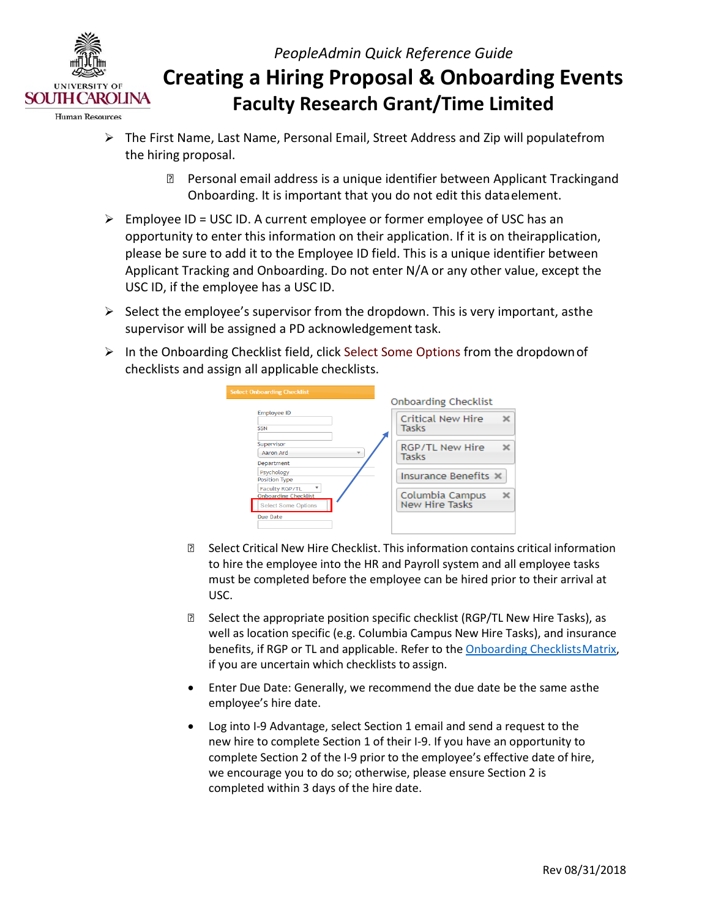

**Human Resources** 

- the hiring proposal.  $\triangleright$  The First Name, Last Name, Personal Email, Street Address and Zip will populatefrom
	- Personal email address is a unique identifier between Applicant Trackingand Onboarding. It is important that you do not edit this dataelement.
- $\triangleright$  Employee ID = USC ID. A current employee or former employee of USC has an Applicant Tracking and Onboarding. Do not enter N/A or any other value, except the USC ID, if the employee has a USC ID. opportunity to enter this information on their application. If it is on theirapplication, please be sure to add it to the Employee ID field. This is a unique identifier between
- $\triangleright$  Select the employee's supervisor from the dropdown. This is very important, asthe supervisor will be assigned a PD acknowledgement task.
- checklists and assign all applicable checklists.  $\triangleright$  In the Onboarding Checklist field, click Select Some Options from the dropdown of

| elect Onboarding Checklist                                                         | Onboarding Checklist              |
|------------------------------------------------------------------------------------|-----------------------------------|
| <b>Employee ID</b><br><b>SSN</b>                                                   | Critical New Hire<br>Tasks        |
| Supervisor<br>Aaron Ard<br>$\overline{\mathbf{v}}$<br>Department                   | RGP/TL New Hire<br><b>Tasks</b>   |
| Psychology<br><b>Position Type</b>                                                 | Insurance Benefits X              |
| <b>Faculty RGP/TL</b><br><b>Onboarding Checklist</b><br><b>Select Some Options</b> | Columbia Campus<br>New Hire Tasks |
| Due Date                                                                           |                                   |

- Select Critical New Hire Checklist. This information contains critical information to hire the employee into the HR and Payroll system and all employee tasks must be completed before the employee can be hired prior to their arrival at USC.
- if you are uncertain which checklists to assign. **B** Select the appropriate position specific checklist (RGP/TL New Hire Tasks), as well as location specific (e.g. Columbia Campus New Hire Tasks), and insurance benefits, if RGP or TL and applicable. Refer to the [Onboarding ChecklistsMatrix,](http://www.sc.edu/about/offices_and_divisions/human_resources/docs/pa_onboarding_checklists_matrix.pdf)
- Enter Due Date: Generally, we recommend the due date be the same asthe employee's hire date.
- new hire to complete Section 1 of their I-9. If you have an opportunity to complete Section 2 of the I-9 prior to the employee's effective date of hire, completed within 3 days of the hire date. • Log into I-9 Advantage, select Section 1 email and send a request to the we encourage you to do so; otherwise, please ensure Section 2 is